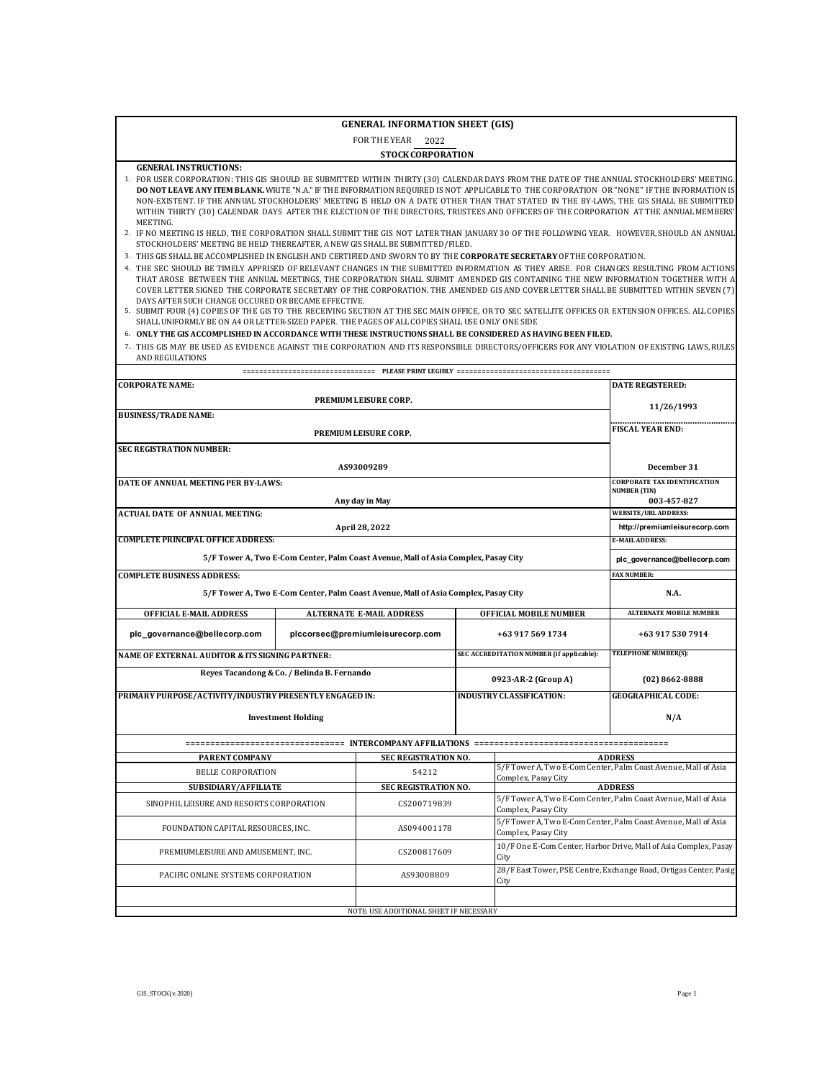# **GENERAL INFORMATION SHEET (GIS)**

FOR THE YEAR 2022 **STOCK CORPORATION** 

### **GENERAL INSTRUCTIONS:**

- 1. FOR USER CORPORATION: THIS GIS SHOULD BE SUBMITTED WITHIN THIRTY (30) CALENDAR DAYS FROM THE DATE OF THE ANNUAL STOCKHOLDERS' MEETING. **DO NOT LEAVE ANY ITEM BLANK.** WRITE "N.A." IF THE INFORMATION REQUIRED IS NOT APPLICABLE TO THE CORPORATION OR "NONE" IF THE INFORMATION IS NON-EXISTENT. IF THE ANNUAL STOCKHOLDERS' MEETING IS HELD ON A DATE OTHER THAN THAT STATED IN THE BY-LAWS, THE GIS SHALL BE SUBMITTED WITHIN THIRTY (30) CALENDAR DAYS AFTER THE ELECTION OF THE DIRECTORS, TRUSTEES AND OFFICERS OF THE CORPORATION AT THE ANNUAL MEMBERS' MEETING.
- 2. IF NO MEETING IS HELD, THE CORPORATION SHALL SUBMIT THE GIS NOT LATER THAN JANUARY 30 OF THE FOLLOWING YEAR. HOWEVER, SHOULD AN ANNUAL STOCKHOLDERS' MEETING BE HELD THEREAFTER, A NEW GIS SHALL BE SUBMITTED/FILED.
- 3. THIS GIS SHALL BE ACCOMPLISHED IN ENGLISH AND CERTIFIED AND SWORN TO BY THE **CORPORATE SECRETARY** OF THE CORPORATION.
- 4. THE SEC SHOULD BE TIMELY APPRISED OF RELEVANT CHANGES IN THE SUBMITTED INFORMATION AS THEY ARISE. FOR CHANGES RESULTING FROM ACTIONS THAT AROSE BETWEEN THE ANNUAL MEETINGS, THE CORPORATION SHALL SUBMIT AMENDED GIS CONTAINING THE NEW INFORMATION TOGETHER WITH A COVER LETTER SIGNED THE CORPORATE SECRETARY OF THE CORPORATION. THE AMENDED GIS AND COVER LETTER SHALL BE SUBMITTED WITHIN SEVEN (7)
- DAYS AFTER SUCH CHANGE OCCURED OR BECAME EFFECTIVE.<br>5. SUBMIT FOUR (4) COPIES OF THE GIS TO THE RECEIVING SECTION AT THE SEC MAIN OFFICE, OR TO SEC SATELLITE OFFICES OR EXTENSION OFFICES. ALL COPIES SHALL UNIFORMLY BE ON A4 OR LETTER-SIZED PAPER. THE PAGES OF ALL COPIES SHALL USE ONLY ONE SIDE
- 6. ONLY THE GIS ACCOMPLISHED IN ACCORDANCE WITH THESE INSTRUCTIONS SHALL BE CONSIDERED AS HAVING BEEN FILED.
- 7. THIS GIS MAY BE USED AS EVIDENCE AGAINST THE CORPORATION AND ITS RESPONSIBLE DIRECTORS/OFFICERS FOR ANY VIOLATION OF EXISTING LAWS, RULES AND REGULATIONS

| <b>CORPORATE NAME:</b>                                  |                                             |                                                                                    |                                           | <b>DATE REGISTERED:</b>                                           |
|---------------------------------------------------------|---------------------------------------------|------------------------------------------------------------------------------------|-------------------------------------------|-------------------------------------------------------------------|
|                                                         |                                             | PREMIUM LEISURE CORP.                                                              |                                           | 11/26/1993                                                        |
| <b>BUSINESS/TRADE NAME:</b>                             |                                             |                                                                                    |                                           |                                                                   |
|                                                         |                                             | PREMIUM LEISURE CORP.                                                              |                                           | <b>FISCAL YEAR END:</b>                                           |
| <b>SEC REGISTRATION NUMBER:</b>                         |                                             |                                                                                    |                                           |                                                                   |
|                                                         |                                             | AS93009289                                                                         |                                           | December 31                                                       |
| DATE OF ANNUAL MEETING PER BY-LAWS:                     |                                             |                                                                                    |                                           | <b>CORPORATE TAX IDENTIFICATION</b><br><b>NUMBER (TIN)</b>        |
|                                                         |                                             | Any day in May                                                                     |                                           | 003-457-827                                                       |
| <b>ACTUAL DATE OF ANNUAL MEETING:</b>                   |                                             |                                                                                    |                                           | <b>WEBSITE/URL ADDRESS:</b>                                       |
|                                                         |                                             | April 28, 2022                                                                     |                                           | http://premiumleisurecorp.com                                     |
| <b>COMPLETE PRINCIPAL OFFICE ADDRESS:</b>               |                                             |                                                                                    |                                           | <b>E-MAIL ADDRESS:</b>                                            |
|                                                         |                                             | 5/F Tower A, Two E-Com Center, Palm Coast Avenue, Mall of Asia Complex, Pasay City |                                           | plc_governance@bellecorp.com                                      |
| <b>COMPLETE BUSINESS ADDRESS:</b>                       |                                             |                                                                                    |                                           | <b>FAX NUMBER:</b>                                                |
|                                                         |                                             | 5/F Tower A, Two E-Com Center, Palm Coast Avenue, Mall of Asia Complex, Pasay City |                                           | N.A.                                                              |
| <b>OFFICIAL E-MAIL ADDRESS</b>                          |                                             | <b>ALTERNATE E-MAIL ADDRESS</b>                                                    | <b>OFFICIAL MOBILE NUMBER</b>             | <b>ALTERNATE MOBILE NUMBER</b>                                    |
| plc_governance@bellecorp.com                            |                                             | plccorsec@premiumleisurecorp.com                                                   | +63 917 569 1734                          | +63 917 530 7914                                                  |
| NAME OF EXTERNAL AUDITOR & ITS SIGNING PARTNER:         |                                             |                                                                                    | SEC ACCREDITATION NUMBER (if applicable): | TELEPHONE NUMBER(S):                                              |
|                                                         | Reyes Tacandong & Co. / Belinda B. Fernando |                                                                                    | 0923-AR-2 (Group A)                       | $(02)$ 8662-8888                                                  |
| PRIMARY PURPOSE/ACTIVITY/INDUSTRY PRESENTLY ENGAGED IN: |                                             |                                                                                    | <b>INDUSTRY CLASSIFICATION:</b>           | <b>GEOGRAPHICAL CODE:</b>                                         |
|                                                         | <b>Investment Holding</b>                   |                                                                                    |                                           | N/A                                                               |
|                                                         |                                             |                                                                                    |                                           |                                                                   |
| PARENT COMPANY                                          |                                             | SEC REGISTRATION NO.                                                               |                                           | <b>ADDRESS</b>                                                    |
| <b>BELLE CORPORATION</b>                                |                                             | 54212                                                                              | Complex, Pasay City                       | 5/F Tower A, Two E-Com Center, Palm Coast Avenue, Mall of Asia    |
| SUBSIDIARY/AFFILIATE                                    |                                             | SEC REGISTRATION NO.                                                               |                                           | <b>ADDRESS</b>                                                    |
| SINOPHIL LEISURE AND RESORTS CORPORATION                |                                             | CS200719839                                                                        | Complex, Pasay City                       | 5/F Tower A, Two E-Com Center, Palm Coast Avenue, Mall of Asia    |
| FOUNDATION CAPITAL RESOURCES, INC.                      |                                             | AS094001178                                                                        | Complex, Pasay City                       | 5/F Tower A, Two E-Com Center, Palm Coast Avenue, Mall of Asia    |
| PREMIUMLEISURE AND AMUSEMENT, INC.                      |                                             | CS200817609                                                                        | City                                      | 10/F One E-Com Center, Harbor Drive, Mall of Asia Complex, Pasay  |
| PACIFIC ONLINE SYSTEMS CORPORATION                      |                                             | AS93008809                                                                         | City                                      | 28/F East Tower, PSE Centre, Exchange Road, Ortigas Center, Pasig |
|                                                         |                                             | NOTE: USE ADDITIONAL SHEET IF NECESSARY                                            |                                           |                                                                   |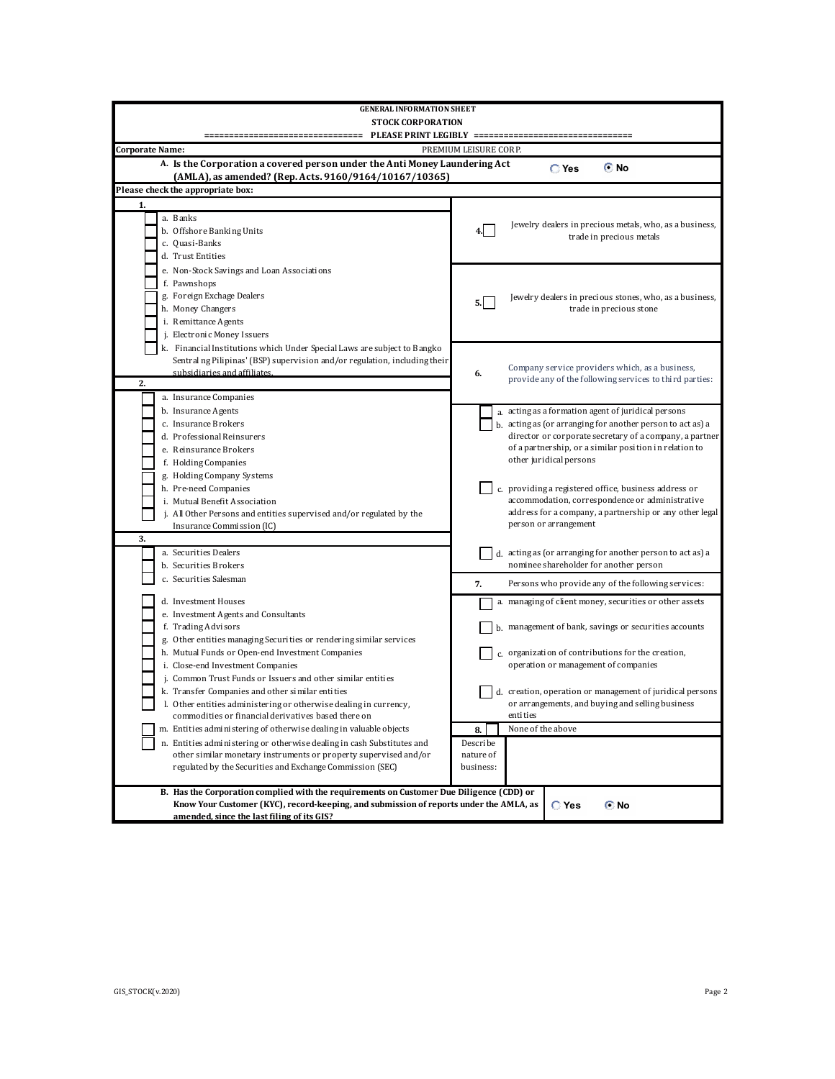| <b>GENERAL INFORMATION SHEET</b>                                                            |                                                                                           |
|---------------------------------------------------------------------------------------------|-------------------------------------------------------------------------------------------|
| <b>STOCK CORPORATION</b>                                                                    |                                                                                           |
|                                                                                             | PLEASE PRINT LEGIBLY ========================                                             |
| Corporate Name:                                                                             | PREMIUM LEISURE CORP.                                                                     |
|                                                                                             |                                                                                           |
| A. Is the Corporation a covered person under the Anti Money Laundering Act                  | © No<br>$\mathbb{C}$ Yes                                                                  |
| (AMLA), as amended? (Rep. Acts. 9160/9164/10167/10365)<br>Please check the appropriate box: |                                                                                           |
|                                                                                             |                                                                                           |
| 1.                                                                                          |                                                                                           |
| a. Banks                                                                                    | Jewelry dealers in precious metals, who, as a business,                                   |
| b. Offshore Banking Units                                                                   | 4.<br>trade in precious metals                                                            |
| c. Quasi-Banks<br>d. Trust Entities                                                         |                                                                                           |
|                                                                                             |                                                                                           |
| e. Non-Stock Savings and Loan Associations<br>f. Pawnshops                                  |                                                                                           |
|                                                                                             |                                                                                           |
| g. Foreign Exchage Dealers<br>h. Money Changers                                             | Jewelry dealers in precious stones, who, as a business,<br>5.I<br>trade in precious stone |
| i. Remittance Agents                                                                        |                                                                                           |
| j. Electronic Money Issuers                                                                 |                                                                                           |
| k. Financial Institutions which Under Special Laws are subject to Bangko                    |                                                                                           |
| Sentral ng Pilipinas' (BSP) supervision and/or regulation, including their                  |                                                                                           |
| subsidiaries and affiliates.                                                                | Company service providers which, as a business,<br>6.                                     |
| 2.                                                                                          | provide any of the following services to third parties:                                   |
| a. Insurance Companies                                                                      |                                                                                           |
| b. Insurance Agents                                                                         | a. acting as a formation agent of juridical persons                                       |
| c. Insurance Brokers                                                                        | b. acting as (or arranging for another person to act as) a                                |
| d. Professional Reinsurers                                                                  | director or corporate secretary of a company, a partner                                   |
| e. Reinsurance Brokers                                                                      | of a partnership, or a similar position in relation to                                    |
| f. Holding Companies                                                                        | other juridical persons                                                                   |
| g. Holding Company Systems                                                                  |                                                                                           |
| h. Pre-need Companies                                                                       | c. providing a registered office, business address or                                     |
| i. Mutual Benefit Association                                                               | accommodation, correspondence or administrative                                           |
| j. All Other Persons and entities supervised and/or regulated by the                        | address for a company, a partnership or any other legal                                   |
| Insurance Commission (IC)                                                                   | person or arrangement                                                                     |
| 3.                                                                                          |                                                                                           |
| a. Securities Dealers                                                                       | d. acting as (or arranging for another person to act as) a                                |
| b. Securities Brokers                                                                       | nominee shareholder for another person                                                    |
| c. Securities Salesman                                                                      | 7.<br>Persons who provide any of the following services:                                  |
| d. Investment Houses                                                                        | a. managing of client money, securities or other assets                                   |
| e. Investment Agents and Consultants                                                        |                                                                                           |
| f. Trading Advisors                                                                         | b. management of bank, savings or securities accounts                                     |
| g. Other entities managing Securities or rendering similar services                         |                                                                                           |
| h. Mutual Funds or Open-end Investment Companies                                            | c. organization of contributions for the creation,                                        |
| i. Close-end Investment Companies                                                           | operation or management of companies                                                      |
| j. Common Trust Funds or Issuers and other similar entities                                 |                                                                                           |
| k. Transfer Companies and other similar entities                                            | d. creation, operation or management of juridical persons                                 |
| Other entities administering or otherwise dealing in currency                               | or arrangements, and buying and selling business                                          |
| commodities or financial derivatives based there on                                         | entities                                                                                  |
| m. Entities administering of otherwise dealing in valuable objects                          | None of the above<br>8.                                                                   |
| n. Entities administering or otherwise dealing in cash Substitutes and                      | Describe                                                                                  |
| other similar monetary instruments or property supervised and/or                            | nature of                                                                                 |
| regulated by the Securities and Exchange Commission (SEC)                                   | business:                                                                                 |
| B. Has the Corporation complied with the requirements on Customer Due Diligence (CDD) or    |                                                                                           |
| Know Your Customer (KYC), record-keeping, and submission of reports under the AMLA, as      | $\mathbb C$ Yes<br>© No                                                                   |
| amended, since the last filing of its GIS?                                                  |                                                                                           |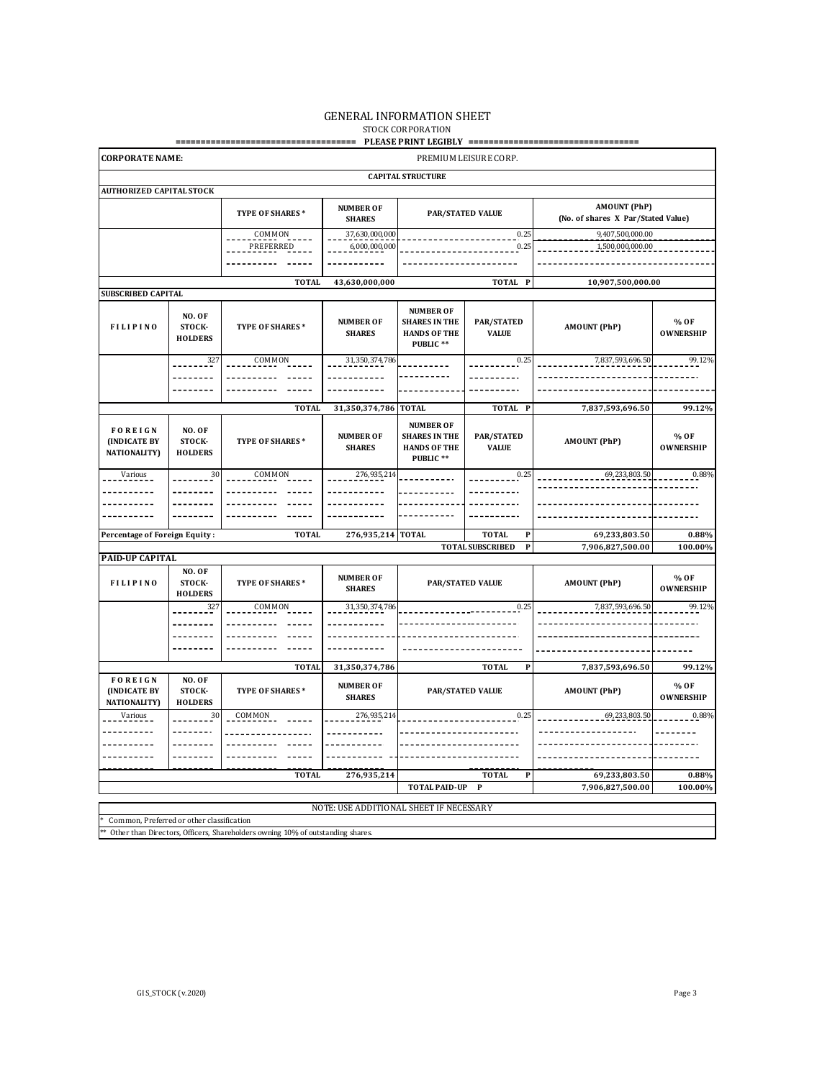### GENERAL INFORMATION SHEET STOCK CORPORATION

**==================================== PLEASE PRINT LEGIBLY ==================================**

| <b>CORPORATE NAME:</b>                                        |                                    |                        |                                   |                                                                              | PREMIUM LEISURE CORP.              |                                                           |                          |
|---------------------------------------------------------------|------------------------------------|------------------------|-----------------------------------|------------------------------------------------------------------------------|------------------------------------|-----------------------------------------------------------|--------------------------|
|                                                               |                                    |                        |                                   | <b>CAPITAL STRUCTURE</b>                                                     |                                    |                                                           |                          |
| <b>AUTHORIZED CAPITAL STOCK</b>                               |                                    |                        |                                   |                                                                              |                                    |                                                           |                          |
|                                                               |                                    | TYPE OF SHARES*        | <b>NUMBER OF</b><br><b>SHARES</b> |                                                                              | <b>PAR/STATED VALUE</b>            | <b>AMOUNT (PhP)</b><br>(No. of shares X Par/Stated Value) |                          |
|                                                               |                                    | COMMON<br>PREFERRED    | 37,630,000,000<br>6,000,000,000   |                                                                              | 0.25<br>0.25                       | 9,407,500,000.00<br>1,500,000,000.00                      |                          |
|                                                               |                                    |                        |                                   |                                                                              |                                    |                                                           |                          |
|                                                               |                                    | <b>TOTAL</b>           | 43,630,000,000                    |                                                                              | $\mathbf{P}$<br><b>TOTAL</b>       | 10,907,500,000.00                                         |                          |
| SUBSCRIBED CAPITAL                                            |                                    |                        |                                   |                                                                              |                                    |                                                           |                          |
| <b>FILIPINO</b>                                               | NO. OF<br>STOCK-<br><b>HOLDERS</b> | TYPE OF SHARES*        | <b>NUMBER OF</b><br><b>SHARES</b> | <b>NUMBER OF</b><br><b>SHARES IN THE</b><br><b>HANDS OF THE</b><br>PUBLIC ** | <b>PAR/STATED</b><br><b>VALUE</b>  | <b>AMOUNT (PhP)</b>                                       | % OF<br><b>OWNERSHIP</b> |
|                                                               | 327                                | COMMON                 | 31,350,374,786                    |                                                                              | 0.25                               | 7,837,593,696.50                                          | 99.12%                   |
|                                                               |                                    |                        |                                   |                                                                              |                                    |                                                           |                          |
|                                                               |                                    |                        |                                   |                                                                              |                                    |                                                           |                          |
|                                                               |                                    | <b>TOTAL</b>           | 31,350,374,786                    | <b>TOTAL</b>                                                                 | TOTAL P                            | 7,837,593,696.50                                          | 99.12%                   |
|                                                               |                                    |                        |                                   |                                                                              |                                    |                                                           |                          |
| <b>FOREIGN</b><br><b>(INDICATE BY</b><br><b>NATIONALITY</b> ) | NO. OF<br>STOCK-<br><b>HOLDERS</b> | <b>TYPE OF SHARES*</b> | <b>NUMBER OF</b><br><b>SHARES</b> | <b>NUMBER OF</b><br><b>SHARES IN THE</b><br><b>HANDS OF THE</b><br>PUBLIC ** | <b>PAR/STATED</b><br><b>VALUE</b>  | <b>AMOUNT (PhP)</b>                                       | % OF<br><b>OWNERSHIP</b> |
| Various                                                       | $\frac{30}{5}$                     | COMMON                 | 276, 935, 214                     |                                                                              | 0.25                               | 69,233,803.50                                             | 0.88%                    |
|                                                               |                                    |                        |                                   |                                                                              |                                    |                                                           |                          |
|                                                               |                                    |                        |                                   |                                                                              |                                    |                                                           |                          |
|                                                               |                                    |                        |                                   |                                                                              |                                    |                                                           |                          |
| Percentage of Foreign Equity:                                 |                                    | <b>TOTAL</b>           | 276,935,214 TOTAL                 |                                                                              | <b>TOTAL</b><br>$\mathbf{P}$       | 69,233,803.50                                             | 0.88%                    |
|                                                               |                                    |                        |                                   |                                                                              | <b>TOTAL SUBSCRIBED</b><br>$\bf P$ | 7,906,827,500.00                                          | 100.00%                  |
| <b>PAID-UP CAPITAL</b>                                        |                                    |                        |                                   |                                                                              |                                    |                                                           |                          |
| <b>FILIPINO</b>                                               | NO. OF<br>STOCK-<br><b>HOLDERS</b> | <b>TYPE OF SHARES*</b> | <b>NUMBER OF</b><br><b>SHARES</b> |                                                                              | <b>PAR/STATED VALUE</b>            | <b>AMOUNT (PhP)</b>                                       | % OF<br><b>OWNERSHIP</b> |
|                                                               |                                    |                        |                                   |                                                                              |                                    |                                                           |                          |
|                                                               | 327                                | COMMON                 | 31, 350, 374, 786                 |                                                                              | 0.25                               | 7,837,593,696.50                                          | 99.12%                   |
|                                                               |                                    |                        |                                   |                                                                              |                                    |                                                           |                          |
|                                                               |                                    |                        |                                   |                                                                              |                                    |                                                           |                          |
|                                                               |                                    |                        | ------                            |                                                                              |                                    |                                                           |                          |
|                                                               |                                    | <b>TOTAL</b>           | 31,350,374,786                    |                                                                              | <b>TOTAL</b><br>$\mathbf P$        | 7,837,593,696.50                                          | 99.12%                   |
| <b>FOREIGN</b><br><b>(INDICATE BY</b><br><b>NATIONALITY</b> ) | NO. OF<br>STOCK-<br><b>HOLDERS</b> | <b>TYPE OF SHARES*</b> | <b>NUMBER OF</b><br><b>SHARES</b> |                                                                              | <b>PAR/STATED VALUE</b>            | <b>AMOUNT (PhP)</b>                                       | % OF<br><b>OWNERSHIP</b> |
| Various                                                       | 30                                 | COMMON                 | 276,935,21                        |                                                                              | 0.25                               | 69,233,803.50                                             | 0.88%                    |
|                                                               |                                    |                        |                                   |                                                                              |                                    |                                                           |                          |
|                                                               |                                    |                        |                                   |                                                                              |                                    |                                                           |                          |
|                                                               |                                    |                        |                                   |                                                                              |                                    |                                                           |                          |
|                                                               |                                    | <b>TOTAL</b>           | 276,935,214                       |                                                                              | <b>TOTAL</b><br>$\mathbf{P}$       |                                                           |                          |
|                                                               |                                    |                        |                                   | <b>TOTAL PAID-UP</b>                                                         | $\bf P$                            | 69,233,803.50<br>7,906,827,500.00                         | 0.88%<br>100.00%         |

\*\* Other than Directors, Officers, Shareholders owning 10% of outstanding shares.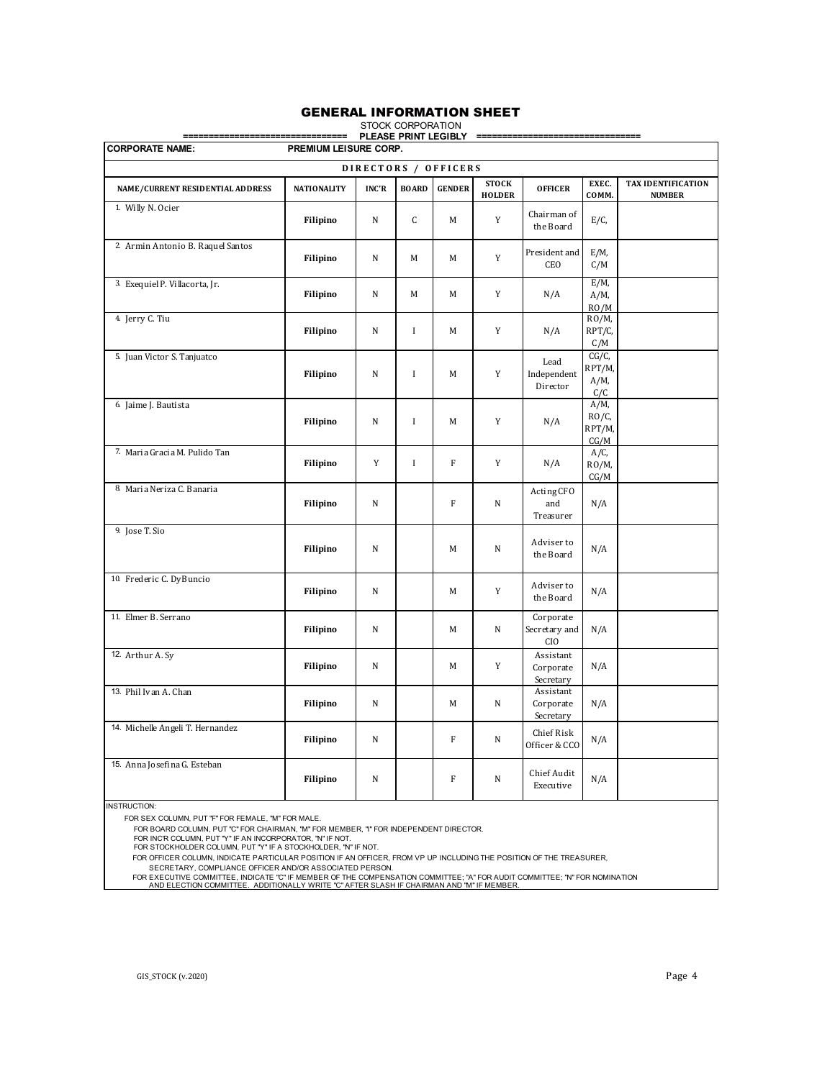### GENERAL INFORMATION SHEET

| ============                      | =====                 |              | STOCK CORPORATION<br>PLEASE PRINT LEGIBLY |                      |                               | --------------------------------         |                                       |                                     |
|-----------------------------------|-----------------------|--------------|-------------------------------------------|----------------------|-------------------------------|------------------------------------------|---------------------------------------|-------------------------------------|
| <b>CORPORATE NAME:</b>            | PREMIUM LEISURE CORP. |              |                                           |                      |                               |                                          |                                       |                                     |
|                                   |                       |              |                                           | DIRECTORS / OFFICERS |                               |                                          |                                       |                                     |
| NAME/CURRENT RESIDENTIAL ADDRESS  | <b>NATIONALITY</b>    | <b>INC'R</b> | <b>BOARD</b>                              | <b>GENDER</b>        | <b>STOCK</b><br><b>HOLDER</b> | <b>OFFICER</b>                           | EXEC.<br>COMM.                        | TAX IDENTIFICATION<br><b>NUMBER</b> |
| 1. Willy N. Ocier                 | Filipino              | N            | C                                         | M                    | Y                             | Chairman of<br>the Board                 | $E/C$ ,                               |                                     |
| 2. Armin Antonio B. Raquel Santos | Filipino              | N            | M                                         | М                    | Y                             | President and<br>CEO                     | $E/M$ ,<br>C/M                        |                                     |
| 3. Exequiel P. Villacorta, Jr.    | Filipino              | N            | M                                         | М                    | Y                             | N/A                                      | $E/M$ ,<br>$A/M$ ,<br>RO/M            |                                     |
| 4. Jerry C. Tiu                   | Filipino              | ${\bf N}$    | $\mathbf{I}$                              | М                    | Y                             | N/A                                      | $RO/M$ ,<br>RPT/C,<br>C/M             |                                     |
| 5. Juan Victor S. Tanjuatco       | Filipino              | N            | $\mathbf{I}$                              | М                    | Y                             | Lead<br>Independent<br>Director          | $CG/C$ ,<br>RPT/M,<br>$A/M$ ,<br>C/C  |                                     |
| 6. Jaime J. Bautista              | Filipino              | N            | I                                         | M                    | Y                             | N/A                                      | $A/M$ ,<br>$RO/C$ ,<br>RPT/M,<br>CG/M |                                     |
| 7. Maria Gracia M. Pulido Tan     | Filipino              | Y            | $\mathbf{I}$                              | $\mathbf{F}$         | Y                             | N/A                                      | $A/C$ ,<br>$RO/M$ ,<br>CG/M           |                                     |
| 8. Maria Neriza C. Banaria        | Filipino              | N            |                                           | $\mathbf F$          | N                             | Acting CFO<br>and<br>Treasurer           | N/A                                   |                                     |
| 9. Jose T. Sio                    | Filipino              | N            |                                           | M                    | N                             | Adviser to<br>the Board                  | N/A                                   |                                     |
| 10. Frederic C. DyBuncio          | Filipino              | N            |                                           | М                    | Y                             | Adviser to<br>the Board                  | N/A                                   |                                     |
| 11. Elmer B. Serrano              | Filipino              | N            |                                           | М                    | N                             | Corporate<br>Secretary and<br><b>CIO</b> | N/A                                   |                                     |
| 12. Arthur A. Sy                  | Filipino              | N            |                                           | M                    | Y                             | Assistant<br>Corporate<br>Secretary      | N/A                                   |                                     |
| 13. Phil Ivan A. Chan             | Filipino              | N            |                                           | M                    | N                             | Assistant<br>Corporate<br>Secretary      | N/A                                   |                                     |
| 14. Michelle Angeli T. Hernandez  | Filipino              | N            |                                           | $\mathbf{F}$         | N                             | Chief Risk<br>Officer & CCO              | N/A                                   |                                     |
| 15. Anna Josefina G. Esteban      | Filipino              | N            |                                           | F                    | N                             | Chief Audit<br>Executive                 | N/A                                   |                                     |

INSTRUCTION:

FOR SEX COLUMN, PUT "F" FOR FEMALE, "M" FOR MALE.

FOR BOARD COLUMN, PUT "C" FOR CHAIRMAN, "M" FOR MEMBER, "I" FOR INDEPENDENT DIRECTOR.

FOR INC'R COLUMN, PUT "Y" IF AN INCORPORATOR, "N" IF NOT. FOR STOCKHOLDER COLUMN, PUT "Y" IF A STOCKHOLDER, "N" IF NOT.

FOR OFFICER COLUMN, INDICATE PARTICULAR POSITION IF AN OFFICER, FROM VP UP INCLUDING THE POSITION OF THE TREASURER,

SECRETARY, COMPLIANCE OFFICER AND/OR ASSOCIATED PERSON.<br>FOR EXECUTIVE COMMITTEE, INDICATE "C" IF MEMBER OF THE COMPENSATION COMMITTEE; "A" FOR AUDIT COMMITTEE; "N" FOR NOMINATION<br>AND ELECTION COMMITTEE. ADDITIONALLY WRITE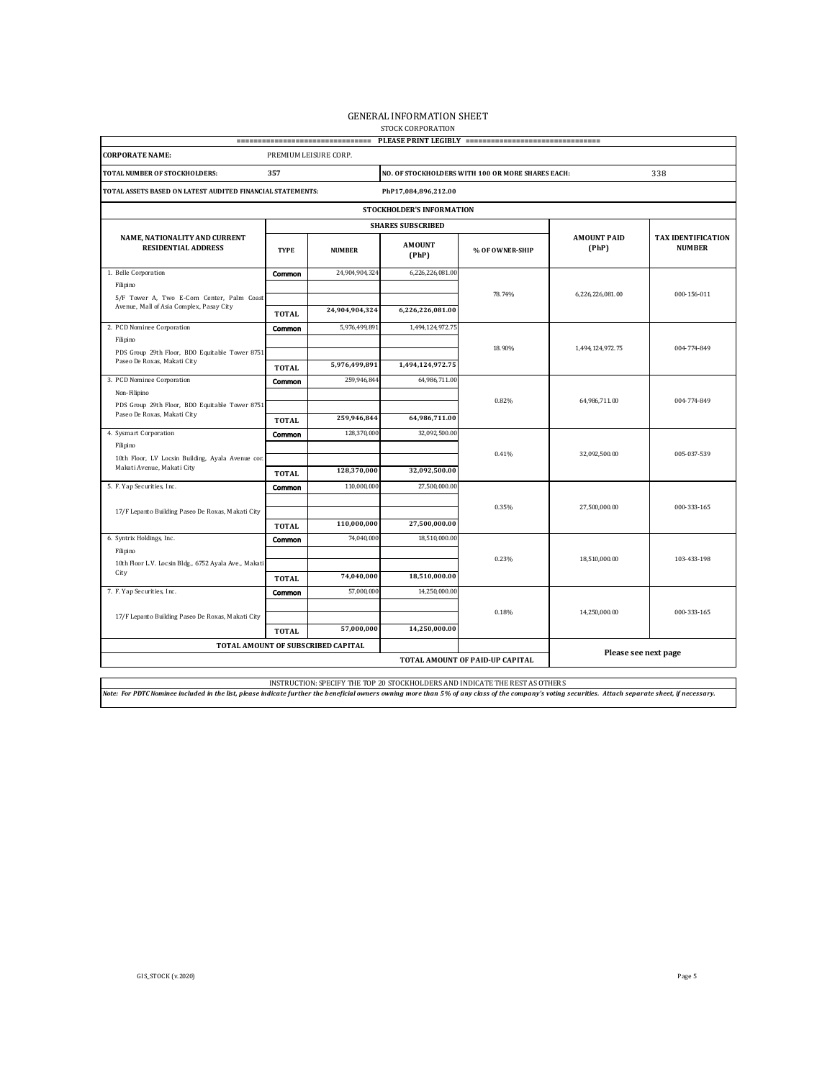# GENERAL INFORMATION SHEET<br>stock corporation

|                                                                                       |                       | =================================== |                           | PLEASE PRINT LEGIBLY ================================ |                             |                                            |
|---------------------------------------------------------------------------------------|-----------------------|-------------------------------------|---------------------------|-------------------------------------------------------|-----------------------------|--------------------------------------------|
| <b>CORPORATE NAME:</b>                                                                | PREMIUM LEISURE CORP. |                                     |                           |                                                       |                             |                                            |
| TOTAL NUMBER OF STOCKHOLDERS:                                                         | 357                   |                                     |                           | NO. OF STOCKHOLDERS WITH 100 OR MORE SHARES EACH:     |                             | 338                                        |
| TOTAL ASSETS BASED ON LATEST AUDITED FINANCIAL STATEMENTS:                            |                       |                                     | PhP17,084,896,212.00      |                                                       |                             |                                            |
|                                                                                       |                       |                                     | STOCKHOLDER'S INFORMATION |                                                       |                             |                                            |
|                                                                                       |                       |                                     | <b>SHARES SUBSCRIBED</b>  |                                                       |                             |                                            |
| NAME, NATIONALITY AND CURRENT<br><b>RESIDENTIAL ADDRESS</b>                           | <b>TYPE</b>           | <b>NUMBER</b>                       | <b>AMOUNT</b><br>(PhP)    | % OF OWNER-SHIP                                       | <b>AMOUNT PAID</b><br>(PhP) | <b>TAX IDENTIFICATION</b><br><b>NUMBER</b> |
| 1. Belle Corporation                                                                  | Common                | 24,904,904,324                      | 6,226,226,081.00          |                                                       |                             |                                            |
| Filipino                                                                              |                       |                                     |                           | 78.74%                                                | 6,226,226,081.00            | 000-156-011                                |
| 5/F Tower A, Two E-Com Center, Palm Coast<br>Avenue, Mall of Asia Complex, Pasay City | <b>TOTAL</b>          | 24,904,904,324                      | 6,226,226,081.00          |                                                       |                             |                                            |
| 2. PCD Nominee Corporation                                                            | Common                | 5,976,499,891                       | 1,494,124,972.75          |                                                       |                             |                                            |
| Filipino<br>PDS Group 29th Floor, BDO Equitable Tower 8751                            |                       |                                     |                           | 18.90%                                                | 1,494,124,972.75            | 004-774-849                                |
| Paseo De Roxas, Makati City                                                           | <b>TOTAL</b>          | 5,976,499,891                       | 1,494,124,972.75          |                                                       |                             |                                            |
| 3. PCD Nominee Corporation                                                            | Common                | 259,946,844                         | 64,986,711.00             |                                                       |                             |                                            |
| Non-Filipino                                                                          |                       |                                     |                           |                                                       |                             |                                            |
| PDS Group 29th Floor, BDO Equitable Tower 8751<br>Paseo De Roxas, Makati City         |                       |                                     |                           | 0.82%                                                 | 64,986,711.00               | 004-774-849                                |
|                                                                                       | <b>TOTAL</b>          | 259,946,844                         | 64,986,711.00             |                                                       |                             |                                            |
| 4. Sysmart Corporation<br>Filipino                                                    | Common                | 128,370,000                         | 32,092,500.00             |                                                       |                             |                                            |
| 10th Floor, LV Locsin Building, Ayala Avenue cor.                                     |                       |                                     |                           | 0.41%                                                 | 32,092,500.00               | 005-037-539                                |
| Makati Avenue, Makati City                                                            | <b>TOTAL</b>          | 128,370,000                         | 32,092,500.00             |                                                       |                             |                                            |
| 5. F. Yap Securities, Inc.                                                            | Common                | 110,000,000                         | 27,500,000.00             |                                                       |                             |                                            |
|                                                                                       |                       |                                     |                           | 0.35%                                                 | 27,500,000.00               | 000-333-165                                |
| 17/F Lepanto Building Paseo De Roxas, Makati City                                     |                       | 110,000,000                         | 27,500,000.00             |                                                       |                             |                                            |
| 6. Syntrix Holdings, Inc.                                                             | <b>TOTAL</b>          | 74,040,000                          | 18,510,000.00             |                                                       |                             |                                            |
| Filipino                                                                              | Common                |                                     |                           |                                                       |                             |                                            |
| 10th Floor L.V. Locsin Bldg., 6752 Ayala Ave., Makati                                 |                       |                                     |                           | 0.23%                                                 | 18,510,000.00               | 103-433-198                                |
| City                                                                                  | <b>TOTAL</b>          | 74,040,000                          | 18,510,000.00             |                                                       |                             |                                            |
| 7. F. Yap Securities, Inc.                                                            | Common                | 57,000,000                          | 14,250,000.00             |                                                       |                             |                                            |
| 17/F Lepanto Building Paseo De Roxas, Makati City                                     |                       |                                     |                           | 0.18%                                                 | 14,250,000.00               | 000-333-165                                |
|                                                                                       | <b>TOTAL</b>          | 57,000,000                          | 14,250,000.00             |                                                       |                             |                                            |
|                                                                                       |                       | TOTAL AMOUNT OF SUBSCRIBED CAPITAL  |                           |                                                       |                             |                                            |
|                                                                                       |                       |                                     |                           | TOTAL AMOUNT OF PAID-UP CAPITAL                       | Please see next page        |                                            |
|                                                                                       |                       |                                     |                           |                                                       |                             |                                            |

INSTRUCTION: SPECIFY THE TOP 20 STOCKHOLDERS AND INDICATE THE REST AS OTHERS<br>Note: For PDTC Nominee included in the list, please indicate further the beneficial owners owning more than 5% of any class of the company's voti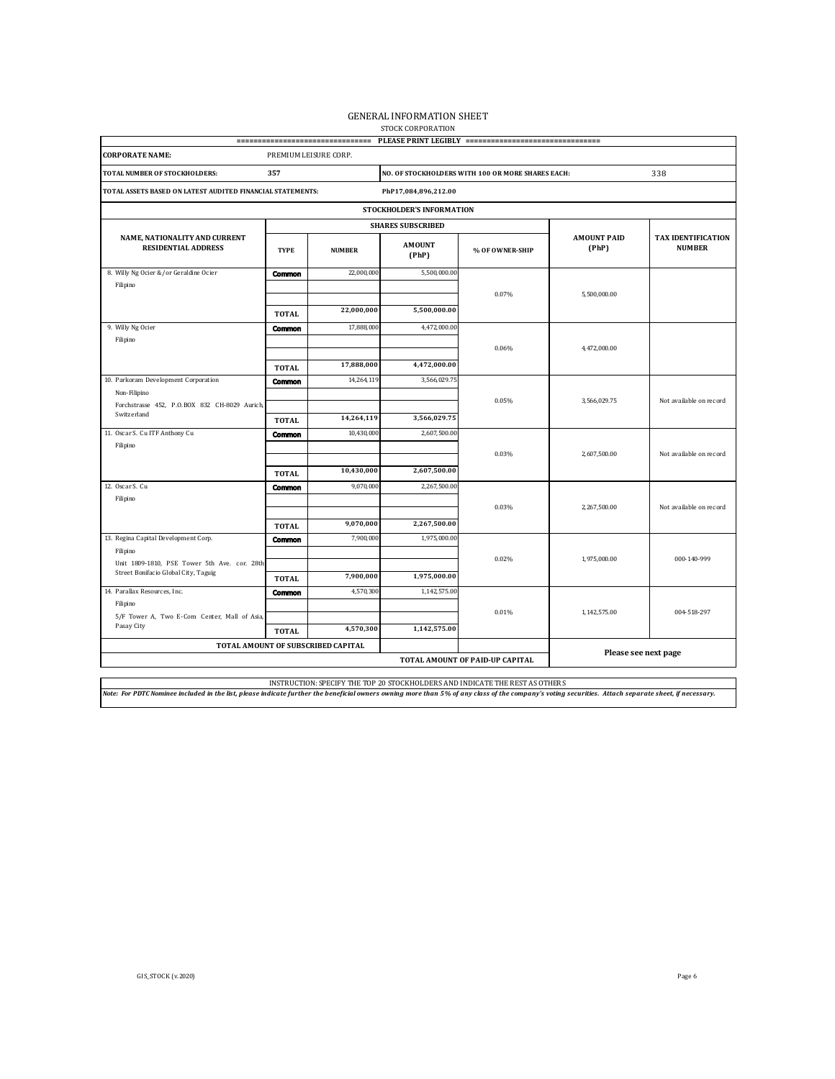# GENERAL INFORMATION SHEET<br>stock corporation

|                                                                                      |                        | ================================== |                           | PLEASE PRINT LEGIBLY ================================ |                             |                                            |  |  |  |
|--------------------------------------------------------------------------------------|------------------------|------------------------------------|---------------------------|-------------------------------------------------------|-----------------------------|--------------------------------------------|--|--|--|
| <b>CORPORATE NAME:</b>                                                               | PREMIUM LEISURE CORP.  |                                    |                           |                                                       |                             |                                            |  |  |  |
| TOTAL NUMBER OF STOCKHOLDERS:                                                        | 357                    |                                    |                           | NO. OF STOCKHOLDERS WITH 100 OR MORE SHARES EACH:     |                             | 338                                        |  |  |  |
| TOTAL ASSETS BASED ON LATEST AUDITED FINANCIAL STATEMENTS:                           |                        |                                    | PhP17,084,896,212.00      |                                                       |                             |                                            |  |  |  |
|                                                                                      |                        |                                    | STOCKHOLDER'S INFORMATION |                                                       |                             |                                            |  |  |  |
|                                                                                      |                        |                                    | <b>SHARES SUBSCRIBED</b>  |                                                       |                             |                                            |  |  |  |
| NAME, NATIONALITY AND CURRENT<br><b>RESIDENTIAL ADDRESS</b>                          | <b>TYPE</b>            | <b>NUMBER</b>                      | <b>AMOUNT</b><br>(PhP)    | % OF OWNER-SHIP                                       | <b>AMOUNT PAID</b><br>(PhP) | <b>TAX IDENTIFICATION</b><br><b>NUMBER</b> |  |  |  |
| 8. Willy Ng Ocier &/or Geraldine Ocier                                               | <b>Common</b>          | 22,000,000                         | 5,500,000.00              |                                                       |                             |                                            |  |  |  |
| Filipino                                                                             |                        |                                    |                           | 0.07%                                                 | 5,500,000.00                |                                            |  |  |  |
|                                                                                      | <b>TOTAL</b>           | 22,000,000                         | 5,500,000.00              |                                                       |                             |                                            |  |  |  |
| 9. Willy Ng Ocier                                                                    | <b>Common</b>          | 17,888,000                         | 4,472,000.00              |                                                       |                             |                                            |  |  |  |
| Filipino                                                                             |                        |                                    |                           | 0.06%                                                 | 4,472,000.00                |                                            |  |  |  |
|                                                                                      |                        |                                    |                           |                                                       |                             |                                            |  |  |  |
|                                                                                      | <b>TOTAL</b>           | 17,888,000                         | 4,472,000.00              |                                                       |                             |                                            |  |  |  |
| 10. Parkoram Development Corporation<br>Non-Filipino                                 | <b>Common</b>          | 14,264,119                         | 3,566,029.75              |                                                       |                             |                                            |  |  |  |
| Forchstrasse 452, P.O.BOX 832 CH-8029 Aurich,                                        |                        |                                    |                           | 0.05%                                                 | 3,566,029.75                | Not available on record                    |  |  |  |
| Switzerland                                                                          | <b>TOTAL</b>           | 14,264,119                         | 3,566,029.75              |                                                       |                             |                                            |  |  |  |
| 11. Oscar S. Cu ITF Anthony Cu                                                       | <b>Common</b>          | 10,430,000                         | 2,607,500.00              |                                                       |                             |                                            |  |  |  |
| Filipino                                                                             |                        |                                    |                           | 0.03%                                                 | 2,607,500.00                | Not available on record                    |  |  |  |
|                                                                                      |                        | 10,430,000                         | 2,607,500.00              |                                                       |                             |                                            |  |  |  |
| 12. Oscar S. Cu                                                                      | <b>TOTAL</b>           | 9,070,000                          | 2,267,500.00              |                                                       |                             |                                            |  |  |  |
| Filipino                                                                             | <b>Common</b>          |                                    |                           |                                                       |                             |                                            |  |  |  |
|                                                                                      |                        |                                    |                           | 0.03%                                                 | 2,267,500.00                | Not available on record                    |  |  |  |
|                                                                                      | <b>TOTAL</b>           | 9,070,000                          | 2,267,500.00              |                                                       |                             |                                            |  |  |  |
| 13. Regina Capital Development Corp.                                                 | Common                 | 7,900,000                          | 1,975,000.00              |                                                       |                             |                                            |  |  |  |
| Filipino                                                                             |                        |                                    |                           | 0.02%                                                 | 1,975,000.00                | 000-140-999                                |  |  |  |
| Unit 1809-1810, PSE Tower 5th Ave. cor. 28th<br>Street Bonifacio Global City, Taguig |                        | 7,900,000                          | 1,975,000.00              |                                                       |                             |                                            |  |  |  |
| 14. Parallax Resources, Inc.                                                         | <b>TOTAL</b><br>Common | 4,570,300                          | 1,142,575.00              |                                                       |                             |                                            |  |  |  |
| Filipino                                                                             |                        |                                    |                           |                                                       |                             |                                            |  |  |  |
| 5/F Tower A, Two E-Com Center, Mall of Asia,                                         |                        |                                    |                           | 0.01%                                                 | 1,142,575.00                | 004-518-297                                |  |  |  |
| Pasay City                                                                           | <b>TOTAL</b>           | 4,570,300                          | 1,142,575.00              |                                                       |                             |                                            |  |  |  |
|                                                                                      |                        | TOTAL AMOUNT OF SUBSCRIBED CAPITAL |                           |                                                       | Please see next page        |                                            |  |  |  |
|                                                                                      |                        |                                    |                           | TOTAL AMOUNT OF PAID-UP CAPITAL                       |                             |                                            |  |  |  |

INSTRUCTION: SPECIFY THE TOP 20 STOCKHOLDERS AND INDICATE THE REST AS OTHERS<br>Note: For PDTC Nominee included in the list, please indicate further the beneficial owners owning more than 5% of any class of the company's voti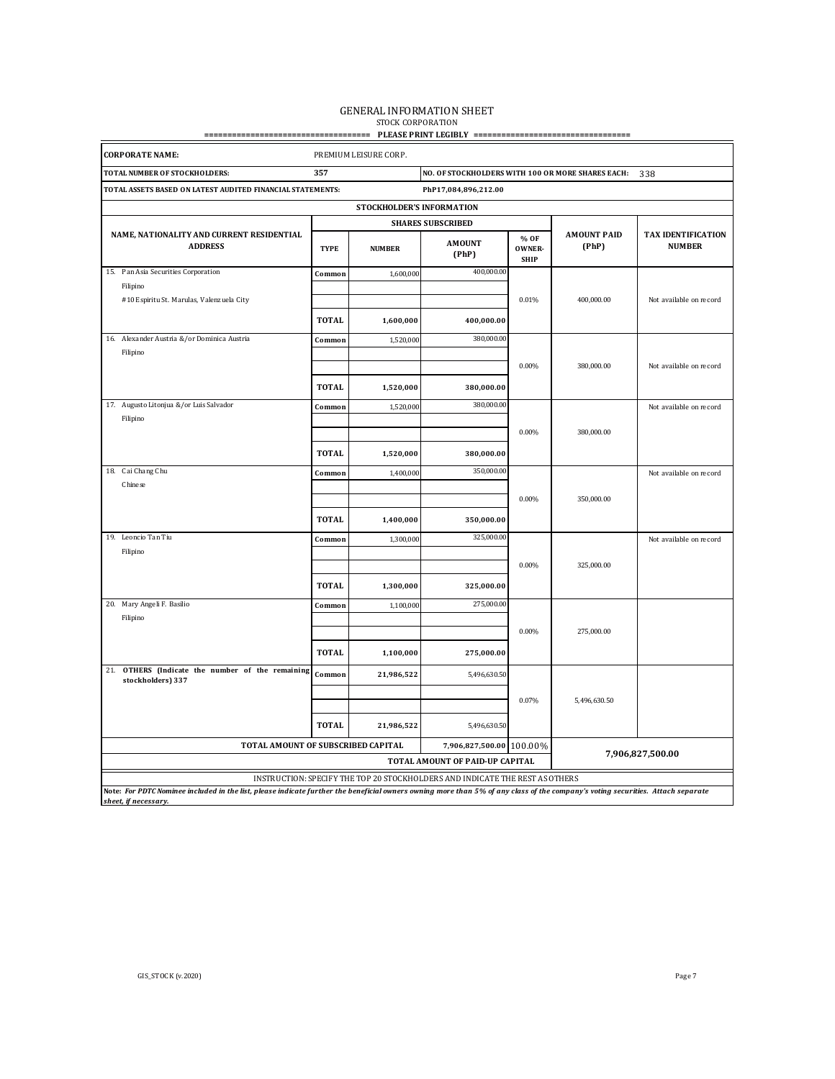# GENERAL INFORMATION SHEET<br>stock corporation

### **==================================== PLEASE PRINT LEGIBLY ==================================**

| <b>CORPORATE NAME:</b>                                                                                                                                                                         |              | PREMIUM LEISURE CORP.     |                                                                              |                               |                             |                                            |
|------------------------------------------------------------------------------------------------------------------------------------------------------------------------------------------------|--------------|---------------------------|------------------------------------------------------------------------------|-------------------------------|-----------------------------|--------------------------------------------|
| TOTAL NUMBER OF STOCKHOLDERS:                                                                                                                                                                  | 357          |                           | NO. OF STOCKHOLDERS WITH 100 OR MORE SHARES EACH:                            |                               |                             | 338                                        |
| TOTAL ASSETS BASED ON LATEST AUDITED FINANCIAL STATEMENTS:                                                                                                                                     |              |                           | PhP17,084,896,212.00                                                         |                               |                             |                                            |
|                                                                                                                                                                                                |              | STOCKHOLDER'S INFORMATION |                                                                              |                               |                             |                                            |
|                                                                                                                                                                                                |              |                           | <b>SHARES SUBSCRIBED</b>                                                     |                               |                             |                                            |
| NAME, NATIONALITY AND CURRENT RESIDENTIAL<br><b>ADDRESS</b>                                                                                                                                    | <b>TYPE</b>  | <b>NUMBER</b>             | <b>AMOUNT</b><br>(PhP)                                                       | % OF<br>OWNER-<br><b>SHIP</b> | <b>AMOUNT PAID</b><br>(PhP) | <b>TAX IDENTIFICATION</b><br><b>NUMBER</b> |
| 15. Pan Asia Securities Corporation                                                                                                                                                            | Common       | 1,600,000                 | 400,000.00                                                                   |                               |                             |                                            |
| Filipino                                                                                                                                                                                       |              |                           |                                                                              |                               |                             |                                            |
| #10 Espiritu St. Marulas, Valenzuela City                                                                                                                                                      |              |                           |                                                                              | 0.01%                         | 400,000.00                  | Not available on record                    |
|                                                                                                                                                                                                | <b>TOTAL</b> | 1,600,000                 | 400,000.00                                                                   |                               |                             |                                            |
| 16. Alexander Austria & / or Dominica Austria                                                                                                                                                  | Common       | 1,520,000                 | 380,000.00                                                                   |                               |                             |                                            |
| Filipino                                                                                                                                                                                       |              |                           |                                                                              |                               |                             |                                            |
|                                                                                                                                                                                                |              |                           |                                                                              | 0.00%                         | 380,000.00                  | Not available on record                    |
|                                                                                                                                                                                                | <b>TOTAL</b> | 1,520,000                 | 380,000.00                                                                   |                               |                             |                                            |
| 17. Augusto Litonjua & / or Luis Salvador                                                                                                                                                      | Common       | 1,520,000                 | 380,000.00                                                                   |                               |                             | Not available on record                    |
| Filipino                                                                                                                                                                                       |              |                           |                                                                              |                               |                             |                                            |
|                                                                                                                                                                                                |              |                           |                                                                              | 0.00%                         | 380,000.00                  |                                            |
|                                                                                                                                                                                                | <b>TOTAL</b> | 1,520,000                 | 380,000.00                                                                   |                               |                             |                                            |
| 18. Cai Chang Chu                                                                                                                                                                              | Common       | 1,400,000                 | 350,000.00                                                                   |                               |                             | Not available on record                    |
| Chinese                                                                                                                                                                                        |              |                           |                                                                              |                               |                             |                                            |
|                                                                                                                                                                                                |              |                           |                                                                              | 0.00%                         | 350,000.00                  |                                            |
|                                                                                                                                                                                                | <b>TOTAL</b> | 1,400,000                 | 350,000.00                                                                   |                               |                             |                                            |
| 19. Leoncio Tan Tiu                                                                                                                                                                            | Common       | 1,300,000                 | 325,000.00                                                                   |                               |                             | Not available on record                    |
| Filipino                                                                                                                                                                                       |              |                           |                                                                              |                               |                             |                                            |
|                                                                                                                                                                                                |              |                           |                                                                              | 0.00%                         | 325,000.00                  |                                            |
|                                                                                                                                                                                                | <b>TOTAL</b> | 1,300,000                 | 325,000.00                                                                   |                               |                             |                                            |
| Mary Angeli F. Basilio<br>20.                                                                                                                                                                  | Common       | 1,100,000                 | 275,000.00                                                                   |                               |                             |                                            |
| Filipino                                                                                                                                                                                       |              |                           |                                                                              |                               |                             |                                            |
|                                                                                                                                                                                                |              |                           |                                                                              | 0.00%                         | 275,000.00                  |                                            |
|                                                                                                                                                                                                | <b>TOTAL</b> | 1,100,000                 | 275,000.00                                                                   |                               |                             |                                            |
| OTHERS (Indicate the number of the remaining<br>21.<br>stockholders) 337                                                                                                                       | Common       | 21,986,522                | 5,496,630.50                                                                 |                               |                             |                                            |
|                                                                                                                                                                                                |              |                           |                                                                              | 0.07%                         | 5,496,630.50                |                                            |
|                                                                                                                                                                                                |              |                           |                                                                              |                               |                             |                                            |
|                                                                                                                                                                                                | <b>TOTAL</b> | 21,986,522                | 5,496,630.50                                                                 |                               |                             |                                            |
| TOTAL AMOUNT OF SUBSCRIBED CAPITAL                                                                                                                                                             |              |                           | 7,906,827,500.00 100.00%                                                     |                               |                             |                                            |
|                                                                                                                                                                                                |              |                           | TOTAL AMOUNT OF PAID-UP CAPITAL                                              |                               |                             | 7,906,827,500.00                           |
|                                                                                                                                                                                                |              |                           | INSTRUCTION: SPECIFY THE TOP 20 STOCKHOLDERS AND INDICATE THE REST AS OTHERS |                               |                             |                                            |
| Note: For PDTC Nominee included in the list, please indicate further the beneficial owners owning more than 5% of any class of the company's voting securities. Attach separate<br>oot if noon |              |                           |                                                                              |                               |                             |                                            |

*sheet, if necessary.*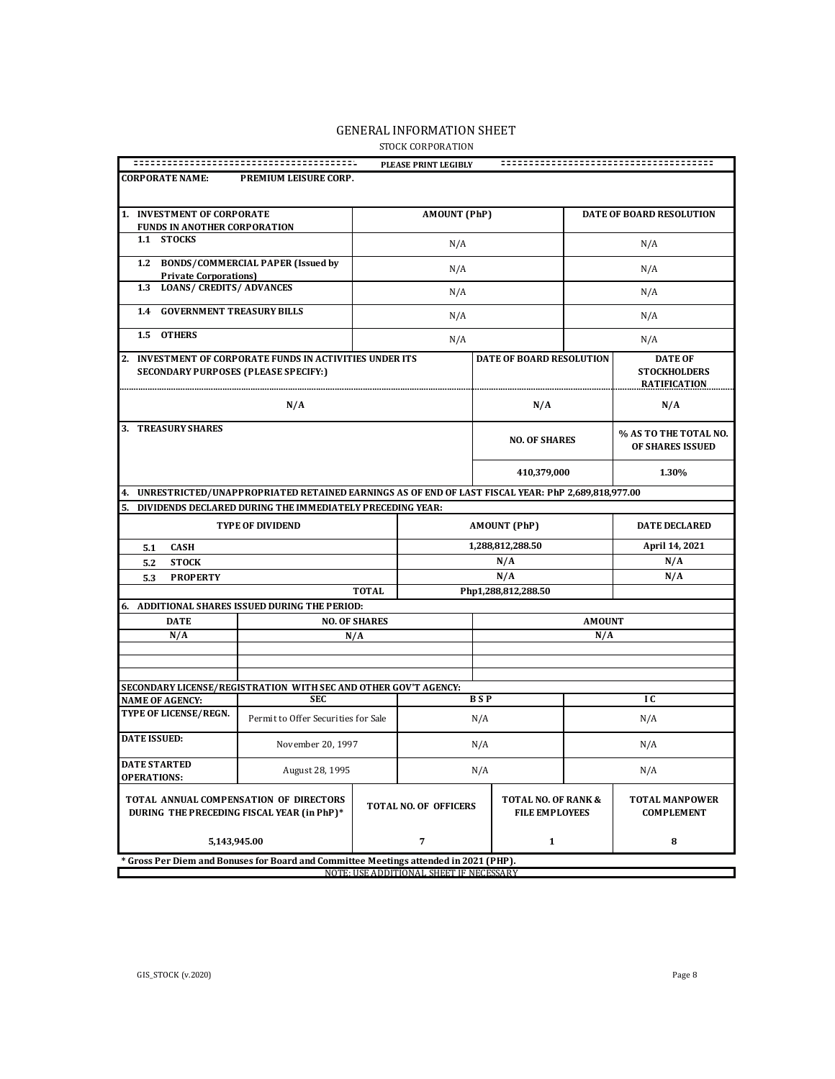|                                                                                                         |                      | PLEASE PRINT LEGIBLY                    |                                              |               |                                                              |
|---------------------------------------------------------------------------------------------------------|----------------------|-----------------------------------------|----------------------------------------------|---------------|--------------------------------------------------------------|
| <b>CORPORATE NAME:</b><br>PREMIUM LEISURE CORP.                                                         |                      |                                         |                                              |               |                                                              |
| 1. INVESTMENT OF CORPORATE                                                                              |                      | <b>AMOUNT (PhP)</b>                     |                                              |               | DATE OF BOARD RESOLUTION                                     |
| <b>FUNDS IN ANOTHER CORPORATION</b><br>1.1 STOCKS                                                       |                      |                                         |                                              |               |                                                              |
|                                                                                                         |                      | N/A                                     |                                              |               | N/A                                                          |
| <b>BONDS/COMMERCIAL PAPER (Issued by</b><br>1.2<br><b>Private Corporations)</b>                         |                      | N/A                                     |                                              |               | N/A                                                          |
| 1.3 LOANS/ CREDITS/ ADVANCES                                                                            |                      | N/A                                     |                                              |               | N/A                                                          |
| <b>GOVERNMENT TREASURY BILLS</b><br>1.4                                                                 |                      | N/A                                     |                                              |               | N/A                                                          |
| 1.5 OTHERS                                                                                              |                      | N/A                                     |                                              |               | N/A                                                          |
| 2. INVESTMENT OF CORPORATE FUNDS IN ACTIVITIES UNDER ITS<br><b>SECONDARY PURPOSES (PLEASE SPECIFY:)</b> |                      |                                         | DATE OF BOARD RESOLUTION                     |               | <b>DATE OF</b><br><b>STOCKHOLDERS</b><br><b>RATIFICATION</b> |
| N/A                                                                                                     |                      |                                         | N/A                                          |               | N/A                                                          |
| 3. TREASURY SHARES                                                                                      |                      |                                         | <b>NO. OF SHARES</b>                         |               | % AS TO THE TOTAL NO.<br>OF SHARES ISSUED                    |
|                                                                                                         |                      |                                         | 410,379,000                                  |               | 1.30%                                                        |
| UNRESTRICTED/UNAPPROPRIATED RETAINED EARNINGS AS OF END OF LAST FISCAL YEAR: PhP 2,689,818,977.00<br>4. |                      |                                         |                                              |               |                                                              |
| 5.<br>DIVIDENDS DECLARED DURING THE IMMEDIATELY PRECEDING YEAR:                                         |                      |                                         |                                              |               |                                                              |
| <b>TYPE OF DIVIDEND</b>                                                                                 |                      |                                         | <b>AMOUNT (PhP)</b>                          |               | <b>DATE DECLARED</b>                                         |
| <b>CASH</b><br>5.1                                                                                      |                      |                                         | 1,288,812,288.50                             |               | April 14, 2021                                               |
| <b>STOCK</b><br>5.2                                                                                     |                      |                                         | N/A                                          |               | N/A                                                          |
| <b>PROPERTY</b><br>5.3                                                                                  | <b>TOTAL</b>         |                                         | N/A<br>Php1,288,812,288.50                   |               | N/A                                                          |
| ADDITIONAL SHARES ISSUED DURING THE PERIOD:<br>6.                                                       |                      |                                         |                                              |               |                                                              |
| <b>DATE</b>                                                                                             | <b>NO. OF SHARES</b> |                                         |                                              | <b>AMOUNT</b> |                                                              |
| N/A                                                                                                     | N/A                  |                                         |                                              | N/A           |                                                              |
|                                                                                                         |                      |                                         |                                              |               |                                                              |
| SECONDARY LICENSE/REGISTRATION WITH SEC AND OTHER GOV'T AGENCY:                                         |                      |                                         |                                              |               |                                                              |
| <b>SEC</b><br><b>NAME OF AGENCY:</b>                                                                    |                      |                                         | <b>BSP</b>                                   |               | I C                                                          |
| TYPE OF LICENSE/REGN.<br>Permit to Offer Securities for Sale                                            |                      |                                         | N/A                                          |               | N/A                                                          |
| <b>DATE ISSUED:</b><br>November 20, 1997                                                                |                      |                                         | N/A                                          |               | N/A                                                          |
| <b>DATE STARTED</b><br>August 28, 1995<br><b>OPERATIONS:</b>                                            |                      |                                         | N/A                                          |               | N/A                                                          |
| TOTAL ANNUAL COMPENSATION OF DIRECTORS<br>DURING THE PRECEDING FISCAL YEAR (in PhP)*                    |                      | <b>TOTAL NO. OF OFFICERS</b>            | TOTAL NO. OF RANK &<br><b>FILE EMPLOYEES</b> |               | <b>TOTAL MANPOWER</b><br><b>COMPLEMENT</b>                   |
| 5,143,945.00                                                                                            |                      | $\overline{7}$                          | $\mathbf{1}$                                 |               | 8                                                            |
| * Gross Per Diem and Bonuses for Board and Committee Meetings attended in 2021 (PHP).                   |                      | NOTE: USE ADDITIONAL SHEET IF NECESSARY |                                              |               |                                                              |

## GENERAL INFORMATION SHEET

STOCK CORPORATION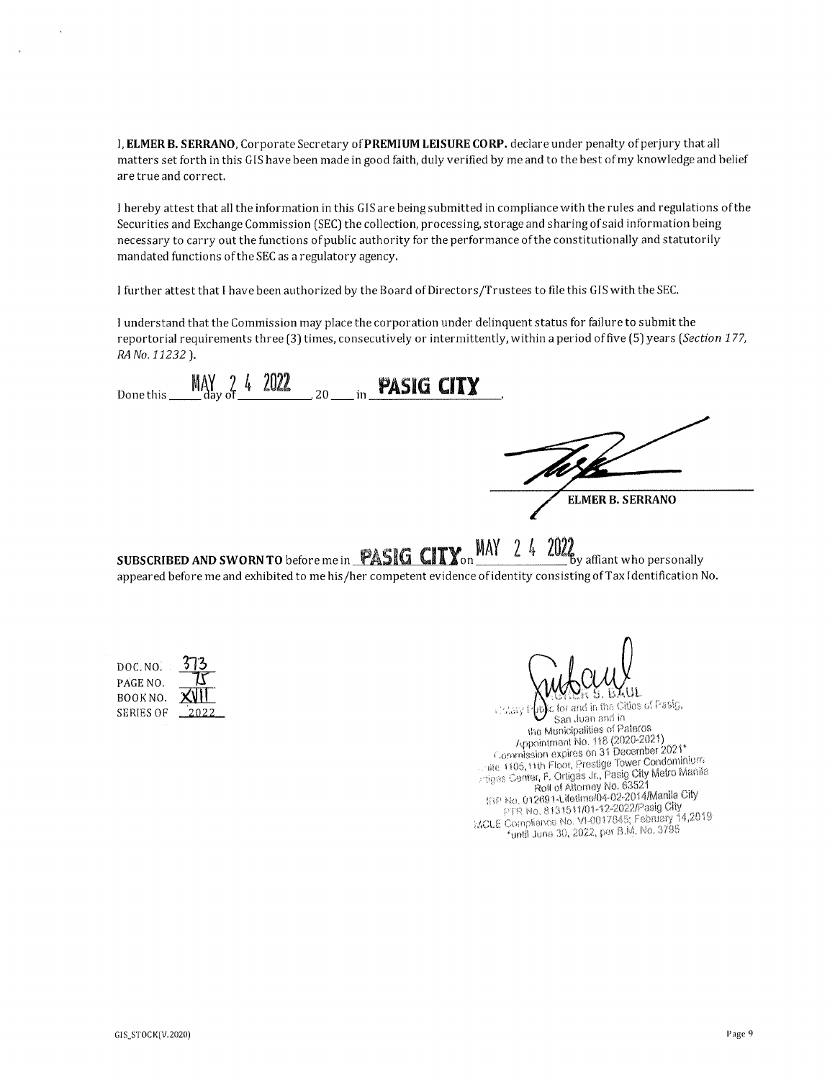I, ELMER B. SERRANO, Corporate Secretary of PREMIUM LEISURE CORP. declare under penalty of perjury that all matters set forth in this GIS have been made in good faith, duly verified by me and to the best of my knowledge and belief are true and correct.

I hereby attest that all the information in this GIS are being submitted in compliance with the rules and regulations of the Securities and Exchange Commission (SEC) the collection, processing, storage and sharing of said information being necessary to carry out the functions of public authority for the performance of the constitutionally and statutorily mandated functions of the SEC as a regulatory agency.

I further attest that I have been authorized by the Board of Directors/Trustees to file this GIS with the SEC.

I understand that the Commission may place the corporation under delinquent status for failure to submit the reportorial requirements three (3) times, consecutively or intermittently, within a period of five (5) years (Section 177, RA No. 11232).

Done this  $M_{\text{day}}^{\text{V}}$  or  $4$  2022 20 in **PASIG CITY ELMER B. SERRANO** SUBSCRIBED AND SWORN TO before me in **PASIG CITY** on MAY 24 2022 by affiant who personally appeared before me and exhibited to me his/her competent evidence of identity consisting of Tax Identification No.

| DOC. NO.         | 273          |
|------------------|--------------|
| PAGE NO.         |              |
| BOOK NO.         | <b>XVIII</b> |
| <b>SERIES OF</b> | 2022         |

c for and in the Cities of Pasig, s tokaly f San Juan and in the Municipalities of Pateros Appointment No. 118 (2020-2021) Commission expires on 31 December 2021\* site 1105, 11th Floor, Prestige Tower Condominium Tiges Center, F. Ortigas Jr., Pasig City Metro Manila<br>Priges Center, F. Ortigas Jr., Pasig City Metro Manila<br>Roll of Attorney No. 63521<br>IBP No. 012691-Lifetime/04-02-2014/Manila City PTR No. 8131511/01-12-2022/Pasig City MCLE Compliance No. VI-0017845; February 14,2019 \*until June 30, 2022, per B.M. No. 3795